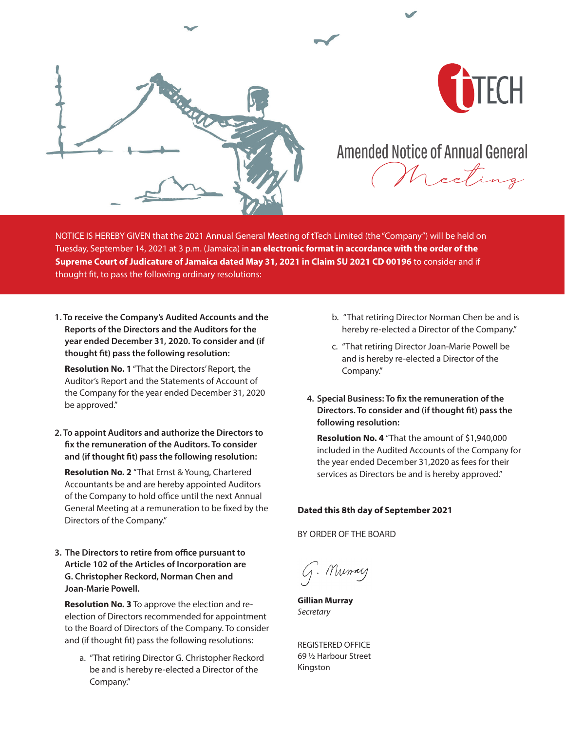



## Amended Notice of Annual General

Meeting

NOTICE IS HEREBY GIVEN that the 2021 Annual General Meeting of tTech Limited (the "Company") will be held on Tuesday, September 14, 2021 at 3 p.m. (Jamaica) in **an electronic format in accordance with the order of the Supreme Court of Judicature of Jamaica dated May 31, 2021 in Claim SU 2021 CD 00196** to consider and if thought fit, to pass the following ordinary resolutions:

**1. To receive the Company's Audited Accounts and the Reports of the Directors and the Auditors for the year ended December 31, 2020. To consider and (if thought fit) pass the following resolution:** 

**Resolution No. 1** "That the Directors' Report, the Auditor's Report and the Statements of Account of the Company for the year ended December 31, 2020 be approved."

**2. To appoint Auditors and authorize the Directors to fix the remuneration of the Auditors. To consider and (if thought fit) pass the following resolution:** 

**Resolution No. 2** "That Ernst & Young, Chartered Accountants be and are hereby appointed Auditors of the Company to hold office until the next Annual General Meeting at a remuneration to be fixed by the Directors of the Company."

**3. The Directors to retire from office pursuant to Article 102 of the Articles of Incorporation are G. Christopher Reckord, Norman Chen and Joan-Marie Powell.** 

**Resolution No. 3** To approve the election and reelection of Directors recommended for appointment to the Board of Directors of the Company. To consider and (if thought fit) pass the following resolutions:

a. "That retiring Director G. Christopher Reckord be and is hereby re-elected a Director of the Company."

- b. "That retiring Director Norman Chen be and is hereby re-elected a Director of the Company."
- c. "That retiring Director Joan-Marie Powell be and is hereby re-elected a Director of the Company."
- **4. Special Business: To fix the remuneration of the Directors. To consider and (if thought fit) pass the following resolution:**

**Resolution No. 4** "That the amount of \$1,940,000 included in the Audited Accounts of the Company for the year ended December 31,2020 as fees for their services as Directors be and is hereby approved."

### **Dated this 8th day of September 2021**

BY ORDER OF THE BOARD

G. Murray

**Gillian Murray** *Secretary*

REGISTERED OFFICE 69 ½ Harbour Street Kingston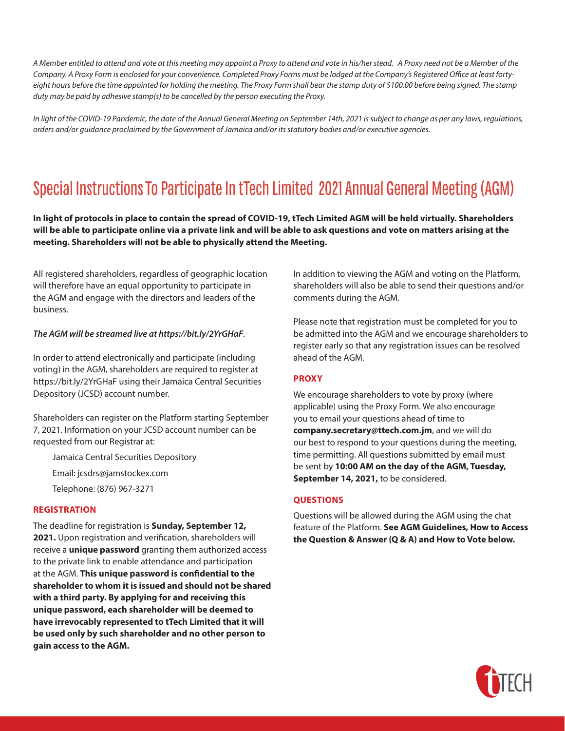*A Member entitled to attend and vote at this meeting may appoint a Proxy to attend and vote in his/her stead. A Proxy need not be a Member of the Company. A Proxy Form is enclosed for your convenience. Completed Proxy Forms must be lodged at the Company's Registered Office at least forty*eight hours before the time appointed for holding the meeting. The Proxy Form shall bear the stamp duty of \$100.00 before being signed. The stamp *duty may be paid by adhesive stamp(s) to be cancelled by the person executing the Proxy.*

*In light of the COVID-19 Pandemic, the date of the Annual General Meeting on September 14th, 2021 is subject to change as per any laws, regulations, orders and/or guidance proclaimed by the Government of Jamaica and/or its statutory bodies and/or executive agencies.* 

# Special Instructions To Participate In tTech Limited 2021 Annual General Meeting (AGM)

**In light of protocols in place to contain the spread of COVID-19, tTech Limited AGM will be held virtually. Shareholders will be able to participate online via a private link and will be able to ask questions and vote on matters arising at the meeting. Shareholders will not be able to physically attend the Meeting.**

All registered shareholders, regardless of geographic location will therefore have an equal opportunity to participate in the AGM and engage with the directors and leaders of the business.

#### *The AGM will be streamed live at https://bit.ly/2YrGHaF*.

In order to attend electronically and participate (including voting) in the AGM, shareholders are required to register at https://bit.ly/2YrGHaF using their Jamaica Central Securities Depository (JCSD) account number.

Shareholders can register on the Platform starting September 7, 2021. Information on your JCSD account number can be requested from our Registrar at:

Jamaica Central Securities Depository Email: jcsdrs@jamstockex.com

Telephone: (876) 967-3271

#### **REGISTRATION**

The deadline for registration is **Sunday, September 12, 2021.** Upon registration and verification, shareholders will receive a **unique password** granting them authorized access to the private link to enable attendance and participation at the AGM. **This unique password is confidential to the shareholder to whom it is issued and should not be shared with a third party. By applying for and receiving this unique password, each shareholder will be deemed to have irrevocably represented to tTech Limited that it will be used only by such shareholder and no other person to gain access to the AGM.**

In addition to viewing the AGM and voting on the Platform, shareholders will also be able to send their questions and/or comments during the AGM.

Please note that registration must be completed for you to be admitted into the AGM and we encourage shareholders to register early so that any registration issues can be resolved ahead of the AGM.

### **PROXY**

We encourage shareholders to vote by proxy (where applicable) using the Proxy Form. We also encourage you to email your questions ahead of time to **company.secretary@ttech.com.jm**, and we will do our best to respond to your questions during the meeting, time permitting. All questions submitted by email must be sent by **10:00 AM on the day of the AGM, Tuesday, September 14, 2021,** to be considered.

### **QUESTIONS**

Questions will be allowed during the AGM using the chat feature of the Platform. **See AGM Guidelines, How to Access the Question & Answer (Q & A) and How to Vote below.**